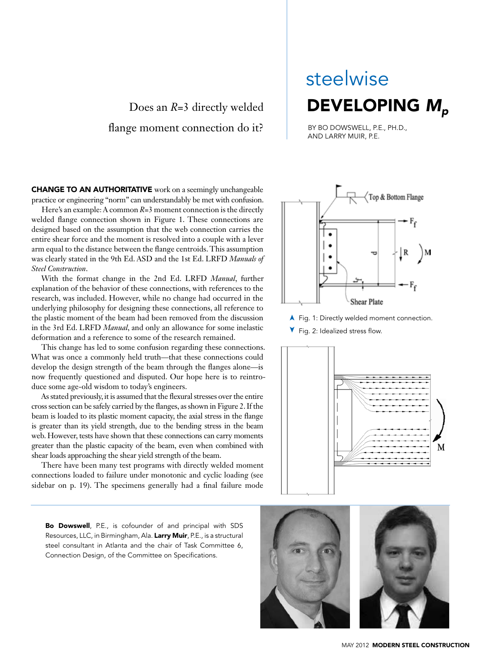### Does an *R*=3 directly welded flange moment connection do it?

# Developing *Mp* steelwise

By Bo Dowswell, P.E., Ph.D., and Larry Muir, P.E.

**CHANGE TO AN AUTHORITATIVE** work on a seemingly unchangeable practice or engineering "norm" can understandably be met with confusion.

Here's an example: A common  $R=3$  moment connection is the directly welded flange connection shown in Figure 1. These connections are designed based on the assumption that the web connection carries the entire shear force and the moment is resolved into a couple with a lever arm equal to the distance between the flange centroids. This assumption was clearly stated in the 9th Ed. ASD and the 1st Ed. LRFD *Manuals of Steel Construction*.

With the format change in the 2nd Ed. LRFD *Manual*, further explanation of the behavior of these connections, with references to the research, was included. However, while no change had occurred in the underlying philosophy for designing these connections, all reference to the plastic moment of the beam had been removed from the discussion in the 3rd Ed. LRFD *Manual*, and only an allowance for some inelastic deformation and a reference to some of the research remained.

This change has led to some confusion regarding these connections. What was once a commonly held truth—that these connections could develop the design strength of the beam through the flanges alone—is now frequently questioned and disputed. Our hope here is to reintroduce some age-old wisdom to today's engineers.

As stated previously, it is assumed that the flexural stresses over the entire cross section can be safely carried by the flanges, as shown in Figure 2. If the beam is loaded to its plastic moment capacity, the axial stress in the flange is greater than its yield strength, due to the bending stress in the beam web. However, tests have shown that these connections can carry moments greater than the plastic capacity of the beam, even when combined with shear loads approaching the shear yield strength of the beam.

There have been many test programs with directly welded moment connections loaded to failure under monotonic and cyclic loading (see sidebar on p. 19). The specimens generally had a final failure mode

Bo Dowswell, P.E., is cofounder of and principal with SDS Resources, LLC, in Birmingham, Ala. Larry Muir, P.E., is a structural steel consultant in Atlanta and the chair of Task Committee 6, Connection Design, of the Committee on Specifications.



▲ Fig. 1: Directly welded moment connection.

Fig. 2: Idealized stress flow.



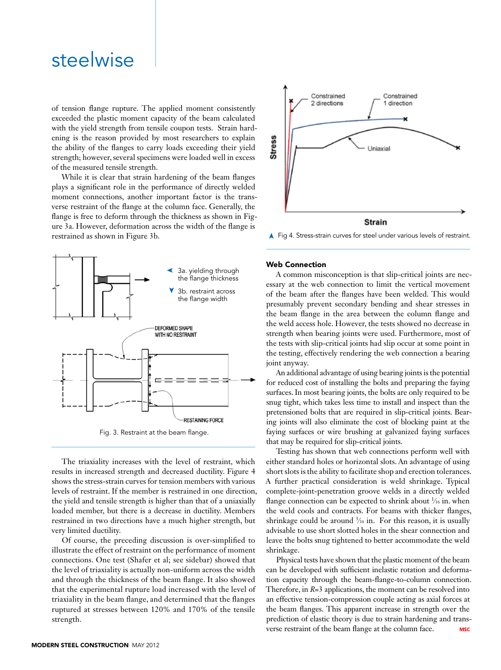## steelwise

of tension flange rupture. The applied moment consistently exceeded the plastic moment capacity of the beam calculated with the yield strength from tensile coupon tests. Strain hardening is the reason provided by most researchers to explain the ability of the flanges to carry loads exceeding their yield strength; however, several specimens were loaded well in excess of the measured tensile strength.

While it is clear that strain hardening of the beam flanges plays a significant role in the performance of directly welded moment connections, another important factor is the transverse restraint of the flange at the column face. Generally, the flange is free to deform through the thickness as shown in Figure 3a. However, deformation across the width of the flange is restrained as shown in Figure 3b.



The triaxiality increases with the level of restraint, which results in increased strength and decreased ductility. Figure 4 shows the stress-strain curves for tension members with various levels of restraint. If the member is restrained in one direction, the yield and tensile strength is higher than that of a uniaxially loaded member, but there is a decrease in ductility. Members restrained in two directions have a much higher strength, but very limited ductility.

Of course, the preceding discussion is over-simplified to illustrate the effect of restraint on the performance of moment connections. One test (Shafer et al; see sidebar) showed that the level of triaxiality is actually non-uniform across the width and through the thickness of the beam flange. It also showed that the experimental rupture load increased with the level of triaxiality in the beam flange, and determined that the flanges ruptured at stresses between 120% and 170% of the tensile strength.



➤ Fig 4. Stress-strain curves for steel under various levels of restraint.

#### Web Connection

A common misconception is that slip-critical joints are necessary at the web connection to limit the vertical movement of the beam after the flanges have been welded. This would presumably prevent secondary bending and shear stresses in the beam flange in the area between the column flange and the weld access hole. However, the tests showed no decrease in strength when bearing joints were used. Furthermore, most of the tests with slip-critical joints had slip occur at some point in the testing, effectively rendering the web connection a bearing joint anyway.

An additional advantage of using bearing joints is the potential for reduced cost of installing the bolts and preparing the faying surfaces. In most bearing joints, the bolts are only required to be snug tight, which takes less time to install and inspect than the pretensioned bolts that are required in slip-critical joints. Bearing joints will also eliminate the cost of blocking paint at the faying surfaces or wire brushing at galvanized faying surfaces that may be required for slip-critical joints.

Testing has shown that web connections perform well with either standard holes or horizontal slots. An advantage of using short slots is the ability to facilitate shop and erection tolerances. A further practical consideration is weld shrinkage. Typical complete-joint-penetration groove welds in a directly welded flange connection can be expected to shrink about  $\frac{1}{16}$  in. when the weld cools and contracts. For beams with thicker flanges, shrinkage could be around  $\frac{3}{16}$  in. For this reason, it is usually advisable to use short slotted holes in the shear connection and leave the bolts snug tightened to better accommodate the weld shrinkage.

Physical tests have shown that the plastic moment of the beam can be developed with sufficient inelastic rotation and deformation capacity through the beam-flange-to-column connection. Therefore, in *R*=3 applications, the moment can be resolved into an effective tension-compression couple acting as axial forces at the beam flanges. This apparent increase in strength over the prediction of elastic theory is due to strain hardening and transverse restraint of the beam flange at the column face. **MSC**